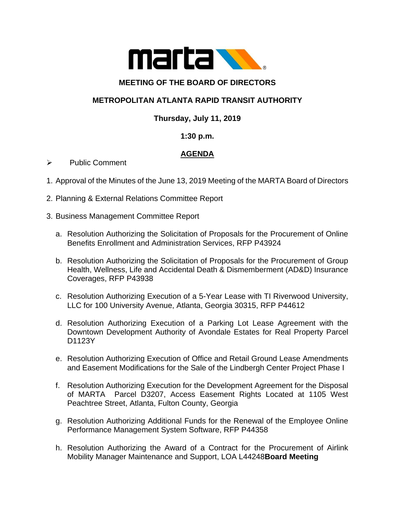

### **MEETING OF THE BOARD OF DIRECTORS**

# **METROPOLITAN ATLANTA RAPID TRANSIT AUTHORITY**

## **Thursday, July 11, 2019**

#### **1:30 p.m.**

# **AGENDA**

- ➢ Public Comment
- 1. Approval of the Minutes of the June 13, 2019 Meeting of the MARTA Board of Directors
- 2. Planning & External Relations Committee Report
- 3. Business Management Committee Report
	- a. Resolution Authorizing the Solicitation of Proposals for the Procurement of Online Benefits Enrollment and Administration Services, RFP P43924
	- b. Resolution Authorizing the Solicitation of Proposals for the Procurement of Group Health, Wellness, Life and Accidental Death & Dismemberment (AD&D) Insurance Coverages, RFP P43938
	- c. Resolution Authorizing Execution of a 5-Year Lease with TI Riverwood University, LLC for 100 University Avenue, Atlanta, Georgia 30315, RFP P44612
	- d. Resolution Authorizing Execution of a Parking Lot Lease Agreement with the Downtown Development Authority of Avondale Estates for Real Property Parcel D1123Y
	- e. Resolution Authorizing Execution of Office and Retail Ground Lease Amendments and Easement Modifications for the Sale of the Lindbergh Center Project Phase I
	- f. Resolution Authorizing Execution for the Development Agreement for the Disposal of MARTA Parcel D3207, Access Easement Rights Located at 1105 West Peachtree Street, Atlanta, Fulton County, Georgia
	- g. Resolution Authorizing Additional Funds for the Renewal of the Employee Online Performance Management System Software, RFP P44358
	- h. Resolution Authorizing the Award of a Contract for the Procurement of Airlink Mobility Manager Maintenance and Support, LOA L44248**Board Meeting**